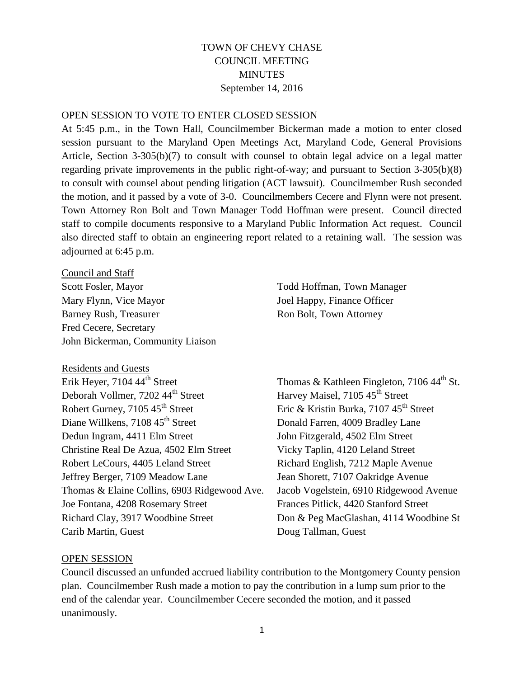## TOWN OF CHEVY CHASE COUNCIL MEETING **MINUTES** September 14, 2016

#### OPEN SESSION TO VOTE TO ENTER CLOSED SESSION

At 5:45 p.m., in the Town Hall, Councilmember Bickerman made a motion to enter closed session pursuant to the Maryland Open Meetings Act, Maryland Code, General Provisions Article, Section 3-305(b)(7) to consult with counsel to obtain legal advice on a legal matter regarding private improvements in the public right-of-way; and pursuant to Section 3-305(b)(8) to consult with counsel about pending litigation (ACT lawsuit). Councilmember Rush seconded the motion, and it passed by a vote of 3-0. Councilmembers Cecere and Flynn were not present. Town Attorney Ron Bolt and Town Manager Todd Hoffman were present. Council directed staff to compile documents responsive to a Maryland Public Information Act request. Council also directed staff to obtain an engineering report related to a retaining wall. The session was adjourned at 6:45 p.m.

Council and Staff Scott Fosler, Mayor Todd Hoffman, Town Manager Mary Flynn, Vice Mayor Joel Happy, Finance Officer Barney Rush, Treasurer **Roussell** Ron Bolt, Town Attorney Fred Cecere, Secretary John Bickerman, Community Liaison

Residents and Guests<br>Erik Hever, 7104 44<sup>th</sup> Street Deborah Vollmer, 7202 44<sup>th</sup> Street Harvey Maisel, 7105 45<sup>th</sup> Street Robert Gurney, 7105 45<sup>th</sup> Street Eric & Kristin Burka, 7107 45<sup>th</sup> Street Diane Willkens, 7108 45<sup>th</sup> Street Donald Farren, 4009 Bradley Lane Dedun Ingram, 4411 Elm Street John Fitzgerald, 4502 Elm Street Christine Real De Azua, 4502 Elm Street Vicky Taplin, 4120 Leland Street Robert LeCours, 4405 Leland Street Richard English, 7212 Maple Avenue Jeffrey Berger, 7109 Meadow Lane Jean Shorett, 7107 Oakridge Avenue Thomas & Elaine Collins, 6903 Ridgewood Ave. Jacob Vogelstein, 6910 Ridgewood Avenue Joe Fontana, 4208 Rosemary Street Frances Pitlick, 4420 Stanford Street Richard Clay, 3917 Woodbine Street Don & Peg MacGlashan, 4114 Woodbine St Carib Martin, Guest Doug Tallman, Guest

Thomas & Kathleen Fingleton, 7106 44<sup>th</sup> St.

#### OPEN SESSION

Council discussed an unfunded accrued liability contribution to the Montgomery County pension plan. Councilmember Rush made a motion to pay the contribution in a lump sum prior to the end of the calendar year. Councilmember Cecere seconded the motion, and it passed unanimously.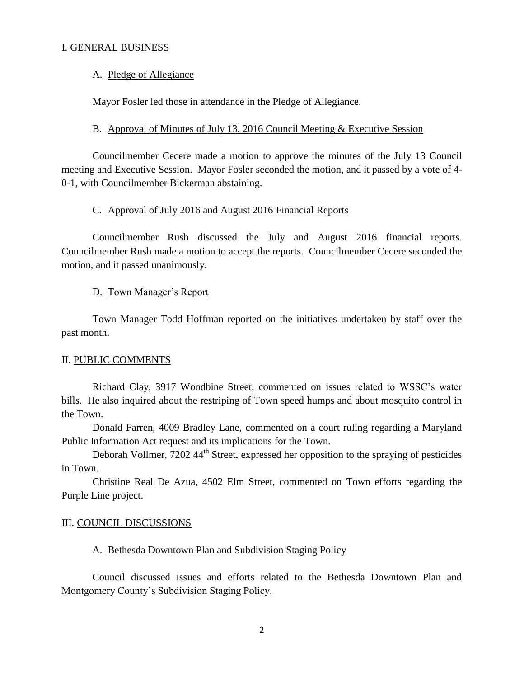## I. GENERAL BUSINESS

#### A. Pledge of Allegiance

Mayor Fosler led those in attendance in the Pledge of Allegiance.

#### B. Approval of Minutes of July 13, 2016 Council Meeting & Executive Session

Councilmember Cecere made a motion to approve the minutes of the July 13 Council meeting and Executive Session. Mayor Fosler seconded the motion, and it passed by a vote of 4- 0-1, with Councilmember Bickerman abstaining.

#### C. Approval of July 2016 and August 2016 Financial Reports

Councilmember Rush discussed the July and August 2016 financial reports. Councilmember Rush made a motion to accept the reports. Councilmember Cecere seconded the motion, and it passed unanimously.

#### D. Town Manager's Report

Town Manager Todd Hoffman reported on the initiatives undertaken by staff over the past month.

#### II. PUBLIC COMMENTS

Richard Clay, 3917 Woodbine Street, commented on issues related to WSSC's water bills. He also inquired about the restriping of Town speed humps and about mosquito control in the Town.

Donald Farren, 4009 Bradley Lane, commented on a court ruling regarding a Maryland Public Information Act request and its implications for the Town.

Deborah Vollmer, 7202 44<sup>th</sup> Street, expressed her opposition to the spraying of pesticides in Town.

Christine Real De Azua, 4502 Elm Street, commented on Town efforts regarding the Purple Line project.

#### III. COUNCIL DISCUSSIONS

#### A. Bethesda Downtown Plan and Subdivision Staging Policy

Council discussed issues and efforts related to the Bethesda Downtown Plan and Montgomery County's Subdivision Staging Policy.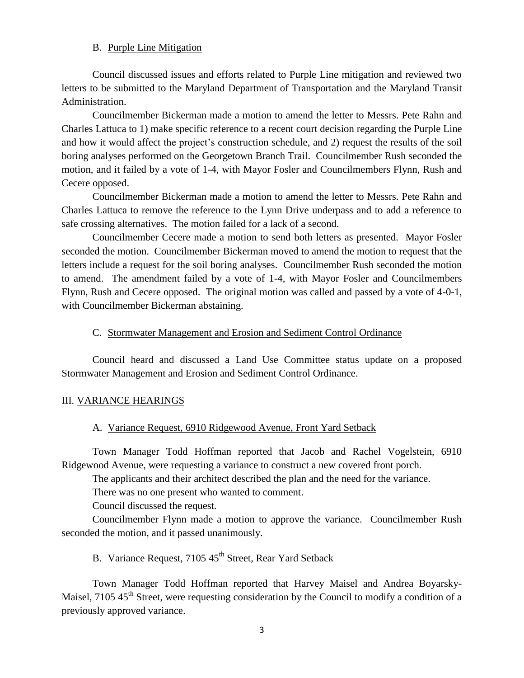## B. Purple Line Mitigation

Council discussed issues and efforts related to Purple Line mitigation and reviewed two letters to be submitted to the Maryland Department of Transportation and the Maryland Transit Administration.

Councilmember Bickerman made a motion to amend the letter to Messrs. Pete Rahn and Charles Lattuca to 1) make specific reference to a recent court decision regarding the Purple Line and how it would affect the project's construction schedule, and 2) request the results of the soil boring analyses performed on the Georgetown Branch Trail. Councilmember Rush seconded the motion, and it failed by a vote of 1-4, with Mayor Fosler and Councilmembers Flynn, Rush and Cecere opposed.

Councilmember Bickerman made a motion to amend the letter to Messrs. Pete Rahn and Charles Lattuca to remove the reference to the Lynn Drive underpass and to add a reference to safe crossing alternatives. The motion failed for a lack of a second.

Councilmember Cecere made a motion to send both letters as presented. Mayor Fosler seconded the motion. Councilmember Bickerman moved to amend the motion to request that the letters include a request for the soil boring analyses. Councilmember Rush seconded the motion to amend. The amendment failed by a vote of 1-4, with Mayor Fosler and Councilmembers Flynn, Rush and Cecere opposed. The original motion was called and passed by a vote of 4-0-1, with Councilmember Bickerman abstaining.

### C. Stormwater Management and Erosion and Sediment Control Ordinance

Council heard and discussed a Land Use Committee status update on a proposed Stormwater Management and Erosion and Sediment Control Ordinance.

## III. VARIANCE HEARINGS

#### A. Variance Request, 6910 Ridgewood Avenue, Front Yard Setback

Town Manager Todd Hoffman reported that Jacob and Rachel Vogelstein, 6910 Ridgewood Avenue, were requesting a variance to construct a new covered front porch.

The applicants and their architect described the plan and the need for the variance.

There was no one present who wanted to comment.

Council discussed the request.

Councilmember Flynn made a motion to approve the variance. Councilmember Rush seconded the motion, and it passed unanimously.

# B. Variance Request, 7105 45<sup>th</sup> Street, Rear Yard Setback

Town Manager Todd Hoffman reported that Harvey Maisel and Andrea Boyarsky-Maisel,  $7105.45<sup>th</sup>$  Street, were requesting consideration by the Council to modify a condition of a previously approved variance.